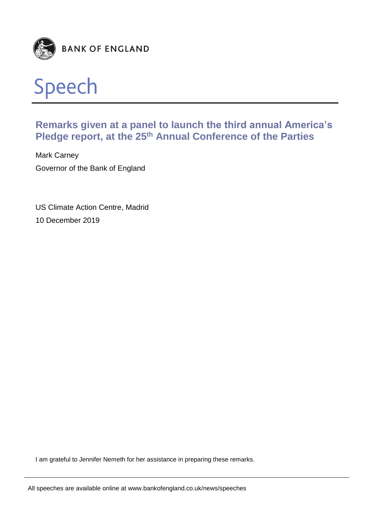



# **Remarks given at a panel to launch the third annual America's Pledge report, at the 25th Annual Conference of the Parties**

Mark Carney Governor of the Bank of England

US Climate Action Centre, Madrid 10 December 2019

I am grateful to Jennifer Nemeth for her assistance in preparing these remarks.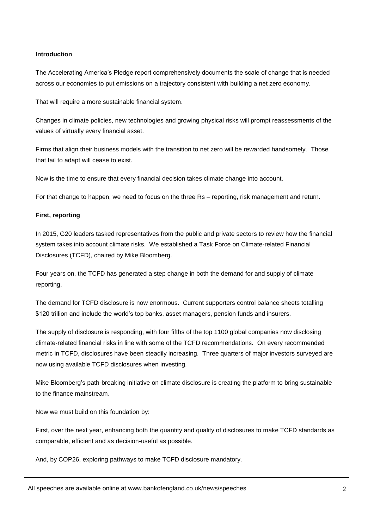# **Introduction**

The Accelerating America's Pledge report comprehensively documents the scale of change that is needed across our economies to put emissions on a trajectory consistent with building a net zero economy.

That will require a more sustainable financial system.

Changes in climate policies, new technologies and growing physical risks will prompt reassessments of the values of virtually every financial asset.

Firms that align their business models with the transition to net zero will be rewarded handsomely. Those that fail to adapt will cease to exist.

Now is the time to ensure that every financial decision takes climate change into account.

For that change to happen, we need to focus on the three Rs – reporting, risk management and return.

# **First, reporting**

In 2015, G20 leaders tasked representatives from the public and private sectors to review how the financial system takes into account climate risks. We established a Task Force on Climate-related Financial Disclosures (TCFD), chaired by Mike Bloomberg.

Four years on, the TCFD has generated a step change in both the demand for and supply of climate reporting.

The demand for TCFD disclosure is now enormous. Current supporters control balance sheets totalling \$120 trillion and include the world's top banks, asset managers, pension funds and insurers.

The supply of disclosure is responding, with four fifths of the top 1100 global companies now disclosing climate-related financial risks in line with some of the TCFD recommendations. On every recommended metric in TCFD, disclosures have been steadily increasing. Three quarters of major investors surveyed are now using available TCFD disclosures when investing.

Mike Bloomberg's path-breaking initiative on climate disclosure is creating the platform to bring sustainable to the finance mainstream.

Now we must build on this foundation by:

First, over the next year, enhancing both the quantity and quality of disclosures to make TCFD standards as comparable, efficient and as decision-useful as possible.

And, by COP26, exploring pathways to make TCFD disclosure mandatory.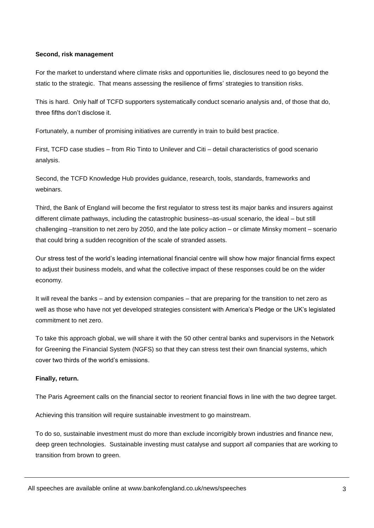## **Second, risk management**

For the market to understand where climate risks and opportunities lie, disclosures need to go beyond the static to the strategic. That means assessing the resilience of firms' strategies to transition risks.

This is hard. Only half of TCFD supporters systematically conduct scenario analysis and, of those that do, three fifths don't disclose it.

Fortunately, a number of promising initiatives are currently in train to build best practice.

First, TCFD case studies – from Rio Tinto to Unilever and Citi – detail characteristics of good scenario analysis.

Second, the TCFD Knowledge Hub provides guidance, research, tools, standards, frameworks and webinars.

Third, the Bank of England will become the first regulator to stress test its major banks and insurers against different climate pathways, including the catastrophic business–as-usual scenario, the ideal – but still challenging –transition to net zero by 2050, and the late policy action – or climate Minsky moment – scenario that could bring a sudden recognition of the scale of stranded assets.

Our stress test of the world's leading international financial centre will show how major financial firms expect to adjust their business models, and what the collective impact of these responses could be on the wider economy.

It will reveal the banks – and by extension companies – that are preparing for the transition to net zero as well as those who have not yet developed strategies consistent with America's Pledge or the UK's legislated commitment to net zero.

To take this approach global, we will share it with the 50 other central banks and supervisors in the Network for Greening the Financial System (NGFS) so that they can stress test their own financial systems, which cover two thirds of the world's emissions.

# **Finally, return.**

The Paris Agreement calls on the financial sector to reorient financial flows in line with the two degree target.

Achieving this transition will require sustainable investment to go mainstream.

To do so, sustainable investment must do more than exclude incorrigibly brown industries and finance new, deep green technologies. Sustainable investing must catalyse and support *all* companies that are working to transition from brown to green.